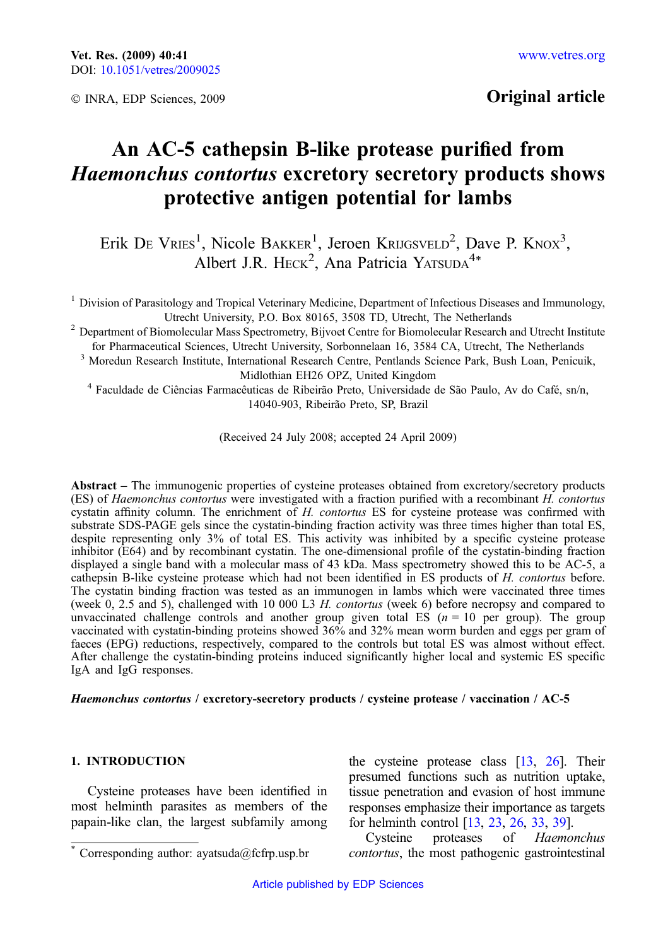© INRA, EDP Sciences, 2009

# Original article

# An AC-5 cathepsin B-like protease purified from Haemonchus contortus excretory secretory products shows protective antigen potential for lambs

Erik De Vries<sup>1</sup>, Nicole Bakker<sup>1</sup>, Jeroen Krijgsveld<sup>2</sup>, Dave P. Knox<sup>3</sup>, Albert J.R. HECK<sup>2</sup>, Ana Patricia YATSUDA<sup>4\*</sup>

<sup>1</sup> Division of Parasitology and Tropical Veterinary Medicine, Department of Infectious Diseases and Immunology, Utrecht University, P.O. Box 80165, 3508 TD, Utrecht, The Netherlands

<sup>2</sup> Department of Biomolecular Mass Spectrometry, Bijvoet Centre for Biomolecular Research and Utrecht Institute for Pharmaceutical Sciences, Utrecht University, Sorbonnelaan 16, 3584 CA, Utrecht, The Netherlands

<sup>3</sup> Moredun Research Institute, International Research Centre, Pentlands Science Park, Bush Loan, Penicuik, Midlothian EH26 OPZ, United Kingdom

<sup>4</sup> Faculdade de Ciências Farmacêuticas de Ribeirão Preto, Universidade de São Paulo, Av do Café, sn/n, 14040-903, Ribeirão Preto, SP, Brazil

(Received 24 July 2008; accepted 24 April 2009)

Abstract – The immunogenic properties of cysteine proteases obtained from excretory/secretory products (ES) of Haemonchus contortus were investigated with a fraction purified with a recombinant H. contortus cystatin affinity column. The enrichment of H. contortus ES for cysteine protease was confirmed with substrate SDS-PAGE gels since the cystatin-binding fraction activity was three times higher than total ES, despite representing only 3% of total ES. This activity was inhibited by a specific cysteine protease inhibitor (E64) and by recombinant cystatin. The one-dimensional profile of the cystatin-binding fraction displayed a single band with a molecular mass of 43 kDa. Mass spectrometry showed this to be AC-5, a cathepsin B-like cysteine protease which had not been identified in ES products of H. contortus before. The cystatin binding fraction was tested as an immunogen in lambs which were vaccinated three times (week 0, 2.5 and 5), challenged with 10 000 L3 H. contortus (week 6) before necropsy and compared to unvaccinated challenge controls and another group given total ES  $(n = 10 \text{ per group})$ . The group vaccinated with cystatin-binding proteins showed 36% and 32% mean worm burden and eggs per gram of faeces (EPG) reductions, respectively, compared to the controls but total ES was almost without effect. After challenge the cystatin-binding proteins induced significantly higher local and systemic ES specific IgA and IgG responses.

# Haemonchus contortus / excretory-secretory products / cysteine protease / vaccination / AC-5

# 1. INTRODUCTION

Cysteine proteases have been identified in most helminth parasites as members of the papain-like clan, the largest subfamily among the cysteine protease class [[13](#page-9-0), [26](#page-9-0)]. Their presumed functions such as nutrition uptake, tissue penetration and evasion of host immune responses emphasize their importance as targets for helminth control [\[13,](#page-9-0) [23,](#page-9-0) [26](#page-9-0), [33,](#page-10-0) [39](#page-10-0)].

Cysteine proteases of Haemonchus Corresponding author: ayatsuda@fcfrp.usp.br *contortus*, the most pathogenic gastrointestinal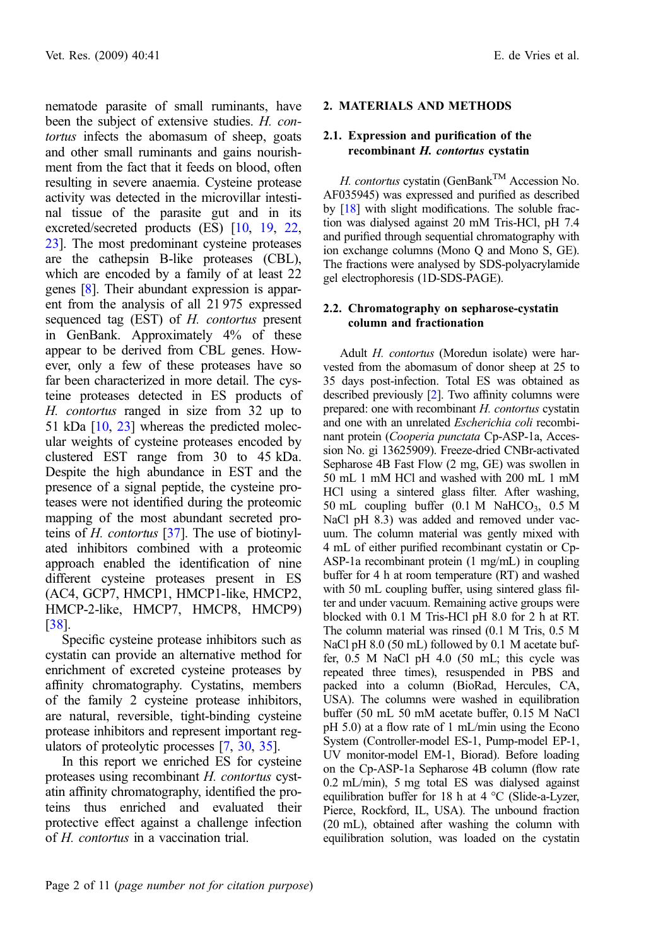nematode parasite of small ruminants, have been the subject of extensive studies. H. contortus infects the abomasum of sheep, goats and other small ruminants and gains nourishment from the fact that it feeds on blood, often resulting in severe anaemia. Cysteine protease activity was detected in the microvillar intestinal tissue of the parasite gut and in its excreted/secreted products (ES) [\[10,](#page-9-0) [19,](#page-9-0) [22](#page-9-0), [23](#page-9-0)]. The most predominant cysteine proteases are the cathepsin B-like proteases (CBL), which are encoded by a family of at least 22 genes [\[8\]](#page-8-0). Their abundant expression is apparent from the analysis of all 21 975 expressed sequenced tag (EST) of H. contortus present in GenBank. Approximately 4% of these appear to be derived from CBL genes. However, only a few of these proteases have so far been characterized in more detail. The cysteine proteases detected in ES products of H. contortus ranged in size from 32 up to 51 kDa [\[10](#page-9-0), [23\]](#page-9-0) whereas the predicted molecular weights of cysteine proteases encoded by clustered EST range from 30 to 45 kDa. Despite the high abundance in EST and the presence of a signal peptide, the cysteine proteases were not identified during the proteomic mapping of the most abundant secreted proteins of  $H$ . *contortus* [\[37\]](#page-10-0). The use of biotinylated inhibitors combined with a proteomic approach enabled the identification of nine different cysteine proteases present in ES (AC4, GCP7, HMCP1, HMCP1-like, HMCP2, HMCP-2-like, HMCP7, HMCP8, HMCP9) [[38](#page-10-0)].

Specific cysteine protease inhibitors such as cystatin can provide an alternative method for enrichment of excreted cysteine proteases by affinity chromatography. Cystatins, members of the family 2 cysteine protease inhibitors, are natural, reversible, tight-binding cysteine protease inhibitors and represent important regulators of proteolytic processes [\[7](#page-8-0), [30,](#page-9-0) [35](#page-10-0)].

In this report we enriched ES for cysteine proteases using recombinant H. contortus cystatin affinity chromatography, identified the proteins thus enriched and evaluated their protective effect against a challenge infection of H. contortus in a vaccination trial.

# 2. MATERIALS AND METHODS

# 2.1. Expression and purification of the recombinant H. contortus cystatin

H. contortus cystatin (GenBank<sup>TM</sup> Accession No. AF035945) was expressed and purified as described by [\[18](#page-9-0)] with slight modifications. The soluble fraction was dialysed against 20 mM Tris-HCl, pH 7.4 and purified through sequential chromatography with ion exchange columns (Mono Q and Mono S, GE). The fractions were analysed by SDS-polyacrylamide gel electrophoresis (1D-SDS-PAGE).

# 2.2. Chromatography on sepharose-cystatin column and fractionation

Adult H. contortus (Moredun isolate) were harvested from the abomasum of donor sheep at 25 to 35 days post-infection. Total ES was obtained as described previously [\[2](#page-8-0)]. Two affinity columns were prepared: one with recombinant H. contortus cystatin and one with an unrelated Escherichia coli recombinant protein (Cooperia punctata Cp-ASP-1a, Accession No. gi 13625909). Freeze-dried CNBr-activated Sepharose 4B Fast Flow (2 mg, GE) was swollen in 50 mL 1 mM HCl and washed with 200 mL 1 mM HCl using a sintered glass filter. After washing, 50 mL coupling buffer  $(0.1 \text{ M } \text{NaHCO}_3, 0.5 \text{ M})$ NaCl pH 8.3) was added and removed under vacuum. The column material was gently mixed with 4 mL of either purified recombinant cystatin or Cp-ASP-1a recombinant protein (1 mg/mL) in coupling buffer for 4 h at room temperature (RT) and washed with 50 mL coupling buffer, using sintered glass filter and under vacuum. Remaining active groups were blocked with 0.1 M Tris-HCl pH 8.0 for 2 h at RT. The column material was rinsed (0.1 M Tris, 0.5 M NaCl pH 8.0 (50 mL) followed by 0.1 M acetate buffer, 0.5 M NaCl pH 4.0 (50 mL; this cycle was repeated three times), resuspended in PBS and packed into a column (BioRad, Hercules, CA, USA). The columns were washed in equilibration buffer (50 mL 50 mM acetate buffer, 0.15 M NaCl pH 5.0) at a flow rate of 1 mL/min using the Econo System (Controller-model ES-1, Pump-model EP-1, UV monitor-model EM-1, Biorad). Before loading on the Cp-ASP-1a Sepharose 4B column (flow rate 0.2 mL/min), 5 mg total ES was dialysed against equilibration buffer for 18 h at  $4 °C$  (Slide-a-Lyzer, Pierce, Rockford, IL, USA). The unbound fraction (20 mL), obtained after washing the column with equilibration solution, was loaded on the cystatin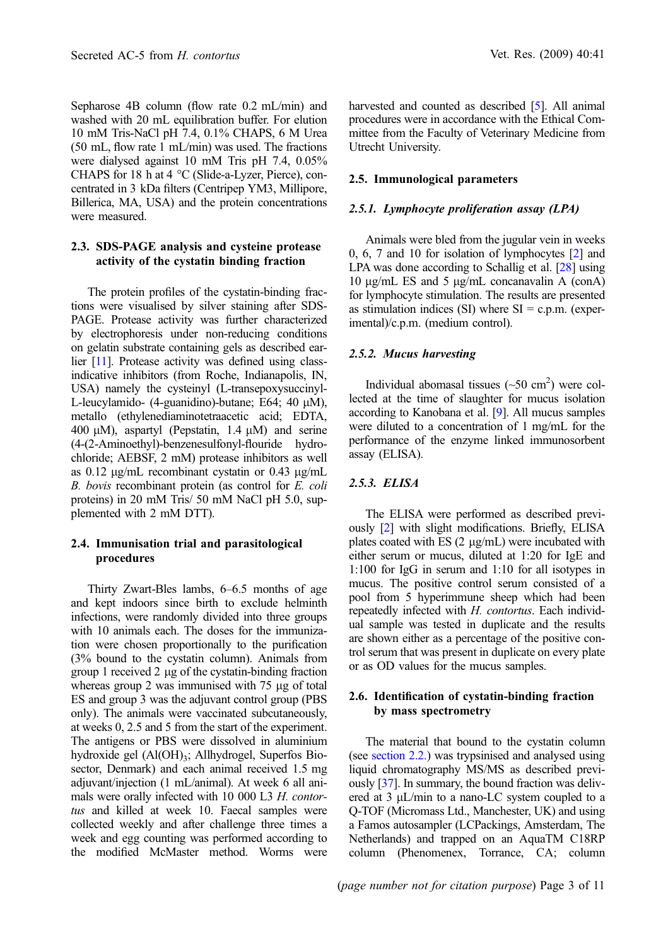Sepharose 4B column (flow rate 0.2 mL/min) and washed with 20 mL equilibration buffer. For elution 10 mM Tris-NaCl pH 7.4, 0.1% CHAPS, 6 M Urea (50 mL, flow rate 1 mL/min) was used. The fractions were dialysed against 10 mM Tris pH 7.4, 0.05% CHAPS for 18 h at 4  $^{\circ}$ C (Slide-a-Lyzer, Pierce), concentrated in 3 kDa filters (Centripep YM3, Millipore, Billerica, MA, USA) and the protein concentrations were measured.

#### 2.3. SDS-PAGE analysis and cysteine protease activity of the cystatin binding fraction

The protein profiles of the cystatin-binding fractions were visualised by silver staining after SDS-PAGE. Protease activity was further characterized by electrophoresis under non-reducing conditions on gelatin substrate containing gels as described earlier [[11\]](#page-9-0). Protease activity was defined using classindicative inhibitors (from Roche, Indianapolis, IN, USA) namely the cysteinyl (L-transepoxysuccinyl-L-leucylamido- (4-guanidino)-butane; E64;  $40 \mu M$ ), metallo (ethylenediaminotetraacetic acid; EDTA, 400  $\mu$ M), aspartyl (Pepstatin, 1.4  $\mu$ M) and serine (4-(2-Aminoethyl)-benzenesulfonyl-flouride hydrochloride; AEBSF, 2 mM) protease inhibitors as well as 0.12  $\mu$ g/mL recombinant cystatin or 0.43  $\mu$ g/mL B. bovis recombinant protein (as control for E. coli proteins) in 20 mM Tris/ 50 mM NaCl pH 5.0, supplemented with 2 mM DTT).

# 2.4. Immunisation trial and parasitological procedures

Thirty Zwart-Bles lambs, 6–6.5 months of age and kept indoors since birth to exclude helminth infections, were randomly divided into three groups with 10 animals each. The doses for the immunization were chosen proportionally to the purification (3% bound to the cystatin column). Animals from group 1 received 2 µg of the cystatin-binding fraction whereas group 2 was immunised with  $75 \mu$ g of total ES and group 3 was the adjuvant control group (PBS only). The animals were vaccinated subcutaneously, at weeks 0, 2.5 and 5 from the start of the experiment. The antigens or PBS were dissolved in aluminium hydroxide gel  $(AI(OH)<sub>3</sub>; Allhydrogel, Superfos Bio$ sector, Denmark) and each animal received 1.5 mg adjuvant/injection (1 mL/animal). At week 6 all animals were orally infected with 10 000 L3 H. contortus and killed at week 10. Faecal samples were collected weekly and after challenge three times a week and egg counting was performed according to the modified McMaster method. Worms were harvested and counted as described [\[5\]](#page-8-0). All animal procedures were in accordance with the Ethical Committee from the Faculty of Veterinary Medicine from Utrecht University.

#### 2.5. Immunological parameters

#### 2.5.1. Lymphocyte proliferation assay (LPA)

Animals were bled from the jugular vein in weeks 0, 6, 7 and 10 for isolation of lymphocytes [\[2](#page-8-0)] and LPA was done according to Schallig et al. [\[28](#page-9-0)] using 10 μg/mL ES and 5 μg/mL concanavalin A (conA) for lymphocyte stimulation. The results are presented as stimulation indices  $(SI)$  where  $SI = c.p.m.$  (experimental)/c.p.m. (medium control).

#### 2.5.2. Mucus harvesting

Individual abomasal tissues  $(\sim 50 \text{ cm}^2)$  were collected at the time of slaughter for mucus isolation according to Kanobana et al. [[9](#page-9-0)]. All mucus samples were diluted to a concentration of 1 mg/mL for the performance of the enzyme linked immunosorbent assay (ELISA).

#### 2.5.3. ELISA

The ELISA were performed as described previously [\[2](#page-8-0)] with slight modifications. Briefly, ELISA plates coated with ES  $(2 \mu g/mL)$  were incubated with either serum or mucus, diluted at 1:20 for IgE and 1:100 for IgG in serum and 1:10 for all isotypes in mucus. The positive control serum consisted of a pool from 5 hyperimmune sheep which had been repeatedly infected with H. contortus. Each individual sample was tested in duplicate and the results are shown either as a percentage of the positive control serum that was present in duplicate on every plate or as OD values for the mucus samples.

#### 2.6. Identification of cystatin-binding fraction by mass spectrometry

The material that bound to the cystatin column (see section 2.2.) was trypsinised and analysed using liquid chromatography MS/MS as described previously [\[37](#page-10-0)]. In summary, the bound fraction was delivered at 3  $\mu$ L/min to a nano-LC system coupled to a Q-TOF (Micromass Ltd., Manchester, UK) and using a Famos autosampler (LCPackings, Amsterdam, The Netherlands) and trapped on an AquaTM C18RP column (Phenomenex, Torrance, CA; column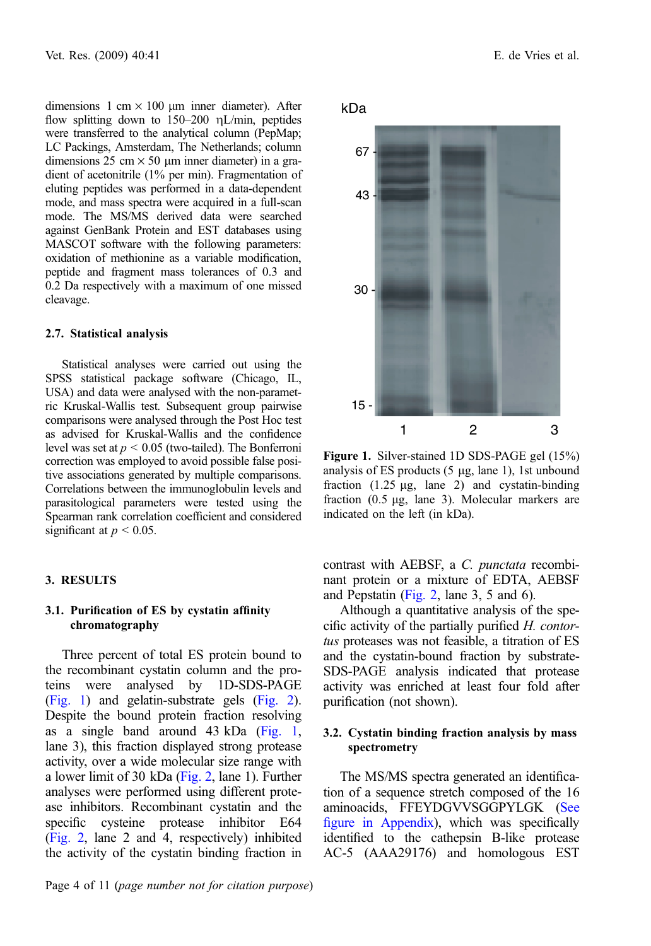dimensions 1 cm  $\times$  100 µm inner diameter). After flow splitting down to  $150-200$  nL/min, peptides were transferred to the analytical column (PepMap; LC Packings, Amsterdam, The Netherlands; column dimensions 25 cm  $\times$  50 µm inner diameter) in a gradient of acetonitrile (1% per min). Fragmentation of eluting peptides was performed in a data-dependent mode, and mass spectra were acquired in a full-scan mode. The MS/MS derived data were searched against GenBank Protein and EST databases using MASCOT software with the following parameters: oxidation of methionine as a variable modification, peptide and fragment mass tolerances of 0.3 and 0.2 Da respectively with a maximum of one missed cleavage.

#### 2.7. Statistical analysis

Statistical analyses were carried out using the SPSS statistical package software (Chicago, IL, USA) and data were analysed with the non-parametric Kruskal-Wallis test. Subsequent group pairwise comparisons were analysed through the Post Hoc test as advised for Kruskal-Wallis and the confidence level was set at  $p \le 0.05$  (two-tailed). The Bonferroni correction was employed to avoid possible false positive associations generated by multiple comparisons. Correlations between the immunoglobulin levels and parasitological parameters were tested using the Spearman rank correlation coefficient and considered significant at  $p < 0.05$ .

#### 3. RESULTS

# 3.1. Purification of ES by cystatin affinity chromatography

Three percent of total ES protein bound to the recombinant cystatin column and the proteins were analysed by 1D-SDS-PAGE (Fig. 1) and gelatin-substrate gels [\(Fig. 2](#page-4-0)). Despite the bound protein fraction resolving as a single band around 43 kDa (Fig. 1, lane 3), this fraction displayed strong protease activity, over a wide molecular size range with a lower limit of 30 kDa ([Fig. 2](#page-4-0), lane 1). Further analyses were performed using different protease inhibitors. Recombinant cystatin and the specific cysteine protease inhibitor E64 ([Fig. 2](#page-4-0), lane 2 and 4, respectively) inhibited the activity of the cystatin binding fraction in

Page 4 of 11 (page number not for citation purpose)



Figure 1. Silver-stained 1D SDS-PAGE gel (15%) analysis of ES products  $(5 \mu g, \text{lane 1})$ , 1st unbound fraction  $(1.25 \mu g, \text{lane } 2)$  and cystatin-binding fraction  $(0.5 \mu g, \text{lane } 3)$ . Molecular markers are indicated on the left (in kDa).

contrast with AEBSF, a C. punctata recombinant protein or a mixture of EDTA, AEBSF and Pepstatin [\(Fig. 2](#page-4-0), lane 3, 5 and 6).

Although a quantitative analysis of the specific activity of the partially purified  $H$ . contortus proteases was not feasible, a titration of ES and the cystatin-bound fraction by substrate-SDS-PAGE analysis indicated that protease activity was enriched at least four fold after purification (not shown).

# 3.2. Cystatin binding fraction analysis by mass spectrometry

The MS/MS spectra generated an identification of a sequence stretch composed of the 16 aminoacids, FFEYDGVVSGGPYLGK (See figure in Appendix), which was specifically identified to the cathepsin B-like protease AC-5 (AAA29176) and homologous EST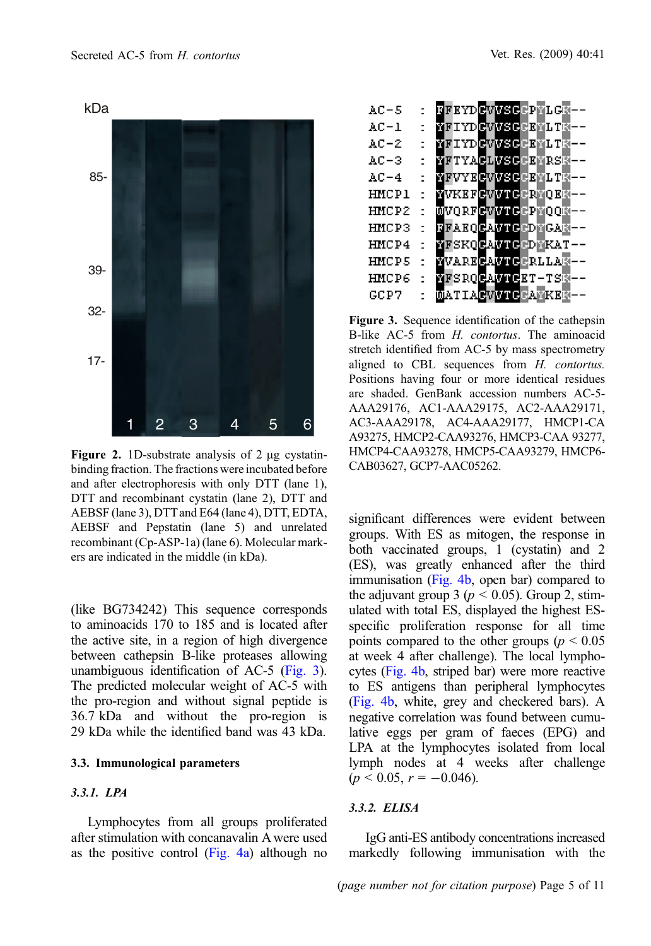<span id="page-4-0"></span>

Figure 2. 1D-substrate analysis of  $2 \mu$ g cystatinbinding fraction. The fractions were incubated before and after electrophoresis with only DTT (lane 1), DTT and recombinant cystatin (lane 2), DTT and AEBSF (lane 3), DTT and E64 (lane 4), DTT, EDTA, AEBSF and Pepstatin (lane 5) and unrelated recombinant (Cp-ASP-1a) (lane 6). Molecular markers are indicated in the middle (in kDa).

(like BG734242) This sequence corresponds to aminoacids 170 to 185 and is located after the active site, in a region of high divergence between cathepsin B-like proteases allowing unambiguous identification of AC-5 (Fig. 3). The predicted molecular weight of AC-5 with the pro-region and without signal peptide is 36.7 kDa and without the pro-region is 29 kDa while the identified band was 43 kDa.

# 3.3. Immunological parameters

# 3.3.1. LPA

Lymphocytes from all groups proliferated after stimulation with concanavalin A were used as the positive control [\(Fig. 4a](#page-5-0)) although no

| AC-5         |                          | <b>REKYDGWYSGEPALGR--</b> |
|--------------|--------------------------|---------------------------|
| AC-1         |                          | 西国工YD保留西部民民国工工商——         |
| AC-2         |                          | 商团工作D保留的美国民国商业工商——        |
| AC-3         |                          | 商团工艺人民政府委员民国商民会商——        |
| AC-4         | ٠                        | 商团VYBCWMXQQCB商LT商--       |
| HMCP1        |                          | NVKEFEVMIERNOED--         |
| HMCP2        |                          | MVORFRWWWERPMOON--        |
| <b>HMCP3</b> | $\overline{\phantom{a}}$ | <b>REAEQRAMERDNGAR--</b>  |
| HMCP4        | $\overline{\phantom{a}}$ | <b>NESKORANTERDNKAT--</b> |
| <b>HMCP5</b> | $\overline{a}$           | NVARECANDERLLAN --        |
| HMCP6        |                          | 西国SRO民入西国民民エーエS南ーー        |
| GCP7         |                          | <b>MATIACVVTCCATKER--</b> |
|              |                          |                           |

Figure 3. Sequence identification of the cathepsin B-like AC-5 from H. contortus. The aminoacid stretch identified from AC-5 by mass spectrometry aligned to CBL sequences from H. contortus. Positions having four or more identical residues are shaded. GenBank accession numbers AC-5- AAA29176, AC1-AAA29175, AC2-AAA29171, AC3-AAA29178, AC4-AAA29177, HMCP1-CA A93275, HMCP2-CAA93276, HMCP3-CAA 93277, HMCP4-CAA93278, HMCP5-CAA93279, HMCP6- CAB03627, GCP7-AAC05262.

significant differences were evident between groups. With ES as mitogen, the response in both vaccinated groups, 1 (cystatin) and 2 (ES), was greatly enhanced after the third immunisation [\(Fig. 4b,](#page-5-0) open bar) compared to the adjuvant group 3 ( $p < 0.05$ ). Group 2, stimulated with total ES, displayed the highest ESspecific proliferation response for all time points compared to the other groups ( $p < 0.05$ ) at week 4 after challenge). The local lymphocytes [\(Fig. 4b](#page-5-0), striped bar) were more reactive to ES antigens than peripheral lymphocytes [\(Fig. 4b](#page-5-0), white, grey and checkered bars). A negative correlation was found between cumulative eggs per gram of faeces (EPG) and LPA at the lymphocytes isolated from local lymph nodes at 4 weeks after challenge  $(p < 0.05, r = -0.046).$ 

# 3.3.2. ELISA

IgG anti-ES antibody concentrations increased markedly following immunisation with the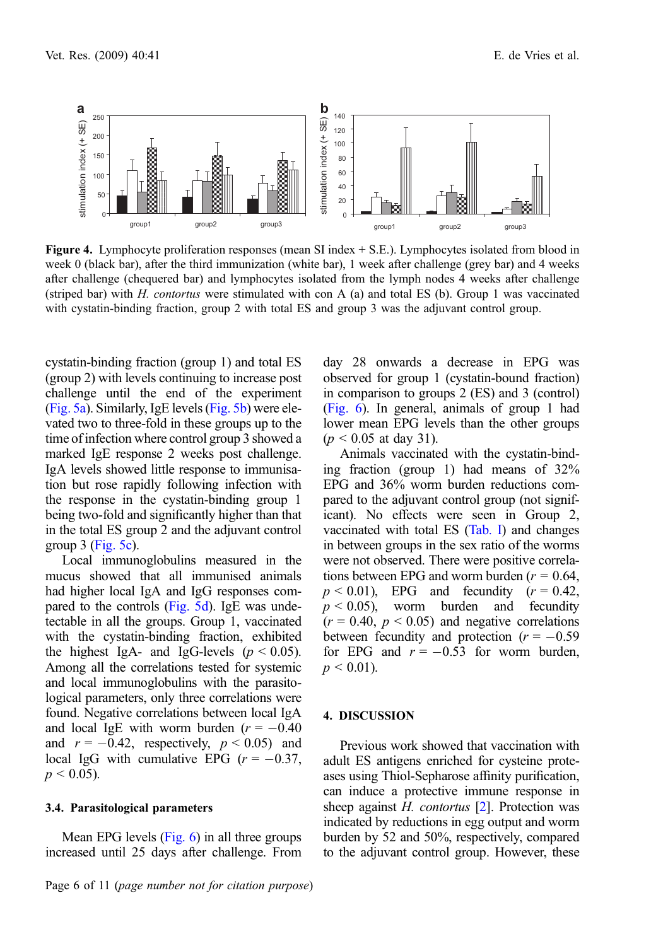<span id="page-5-0"></span>

Figure 4. Lymphocyte proliferation responses (mean SI index + S.E.). Lymphocytes isolated from blood in week 0 (black bar), after the third immunization (white bar), 1 week after challenge (grey bar) and 4 weeks after challenge (chequered bar) and lymphocytes isolated from the lymph nodes 4 weeks after challenge (striped bar) with H. contortus were stimulated with con A (a) and total ES (b). Group 1 was vaccinated with cystatin-binding fraction, group 2 with total ES and group 3 was the adjuvant control group.

cystatin-binding fraction (group 1) and total ES (group 2) with levels continuing to increase post challenge until the end of the experiment ([Fig. 5a\)](#page-6-0). Similarly, IgE levels ([Fig. 5b](#page-6-0)) were elevated two to three-fold in these groups up to the time of infection where control group 3 showed a marked IgE response 2 weeks post challenge. IgA levels showed little response to immunisation but rose rapidly following infection with the response in the cystatin-binding group 1 being two-fold and significantly higher than that in the total ES group 2 and the adjuvant control group  $3$  [\(Fig. 5c\)](#page-6-0).

Local immunoglobulins measured in the mucus showed that all immunised animals had higher local IgA and IgG responses compared to the controls [\(Fig. 5d\)](#page-6-0). IgE was undetectable in all the groups. Group 1, vaccinated with the cystatin-binding fraction, exhibited the highest IgA- and IgG-levels ( $p < 0.05$ ). Among all the correlations tested for systemic and local immunoglobulins with the parasitological parameters, only three correlations were found. Negative correlations between local IgA and local IgE with worm burden  $(r = -0.40$ and  $r = -0.42$ , respectively,  $p \le 0.05$ ) and local IgG with cumulative EPG  $(r = -0.37,$  $p \leq 0.05$ ).

#### 3.4. Parasitological parameters

Mean EPG levels [\(Fig. 6\)](#page-6-0) in all three groups increased until 25 days after challenge. From day 28 onwards a decrease in EPG was observed for group 1 (cystatin-bound fraction) in comparison to groups 2 (ES) and 3 (control) ([Fig. 6](#page-6-0)). In general, animals of group 1 had lower mean EPG levels than the other groups  $(p < 0.05$  at day 31).

Animals vaccinated with the cystatin-binding fraction (group 1) had means of 32% EPG and 36% worm burden reductions compared to the adjuvant control group (not significant). No effects were seen in Group 2, vaccinated with total ES [\(Tab. I\)](#page-7-0) and changes in between groups in the sex ratio of the worms were not observed. There were positive correlations between EPG and worm burden ( $r = 0.64$ ,  $p < 0.01$ ), EPG and fecundity ( $r = 0.42$ ,  $p < 0.05$ ), worm burden and fecundity  $(r = 0.40, p < 0.05)$  and negative correlations between fecundity and protection  $(r = -0.59)$ for EPG and  $r = -0.53$  for worm burden,  $p \leq 0.01$ ).

#### 4. DISCUSSION

Previous work showed that vaccination with adult ES antigens enriched for cysteine proteases using Thiol-Sepharose affinity purification, can induce a protective immune response in sheep against  $H.$  contortus  $[2]$  $[2]$ . Protection was indicated by reductions in egg output and worm burden by 52 and 50%, respectively, compared to the adjuvant control group. However, these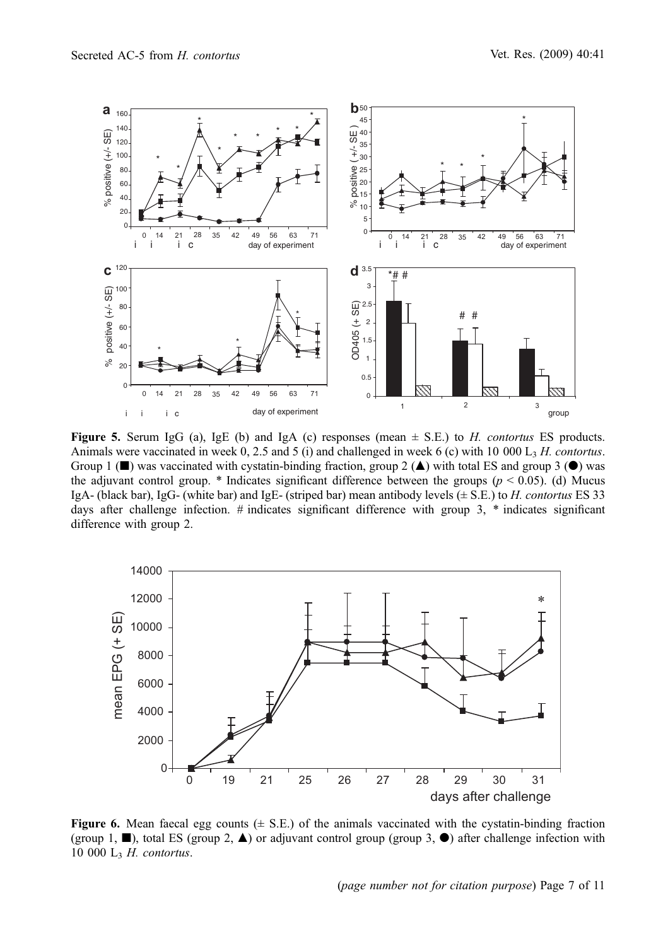<span id="page-6-0"></span>

Figure 5. Serum IgG (a), IgE (b) and IgA (c) responses (mean  $\pm$  S.E.) to *H. contortus* ES products. Animals were vaccinated in week 0, 2.5 and 5 (i) and challenged in week 6 (c) with 10 000  $L<sub>3</sub>$  H. contortus. Group 1 ( $\blacksquare$ ) was vaccinated with cystatin-binding fraction, group 2 ( $\blacktriangle$ ) with total ES and group 3 ( $\blacklozenge$ ) was the adjuvant control group. \* Indicates significant difference between the groups ( $p < 0.05$ ). (d) Mucus IgA- (black bar), IgG- (white bar) and IgE- (striped bar) mean antibody levels (± S.E.) to H. contortus ES 33 days after challenge infection.  $\#$  indicates significant difference with group 3,  $*$  indicates significant difference with group 2.



**Figure 6.** Mean faecal egg counts  $(\pm S.E.)$  of the animals vaccinated with the cystatin-binding fraction (group 1,  $\blacksquare$ ), total ES (group 2,  $\blacktriangle$ ) or adjuvant control group (group 3,  $\lozenge$ ) after challenge infection with 10 000  $L<sub>3</sub>$  H. contortus.

(page number not for citation purpose) Page 7 of 11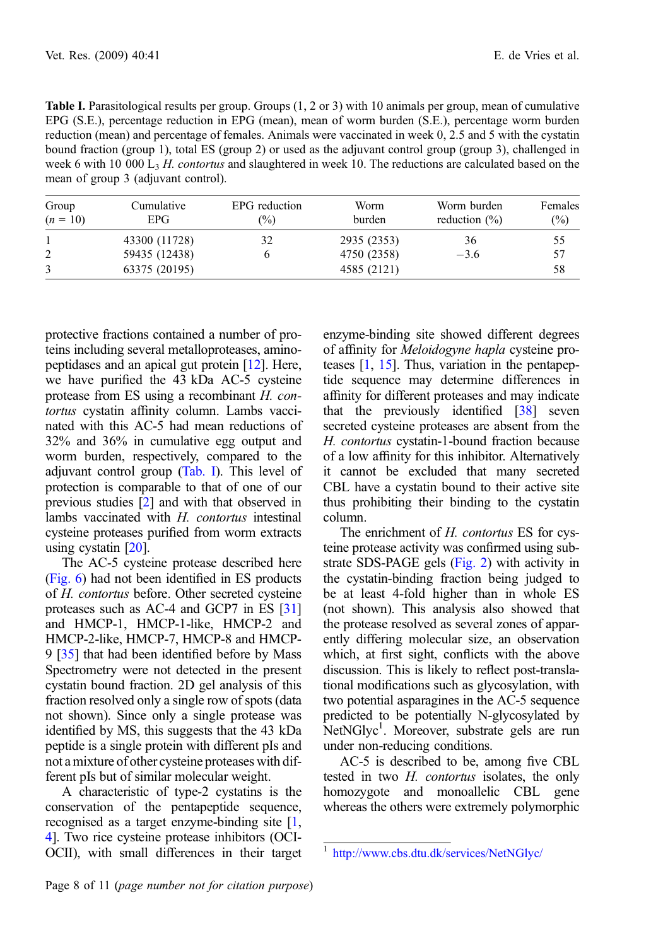<span id="page-7-0"></span>

| <b>Table I.</b> Parasitological results per group. Groups $(1, 2 \text{ or } 3)$ with 10 animals per group, mean of cumulative |
|--------------------------------------------------------------------------------------------------------------------------------|
| EPG (S.E.), percentage reduction in EPG (mean), mean of worm burden (S.E.), percentage worm burden                             |
| reduction (mean) and percentage of females. Animals were vaccinated in week 0, 2.5 and 5 with the cystatin                     |
| bound fraction (group 1), total ES (group 2) or used as the adjuvant control group (group 3), challenged in                    |
| week 6 with 10 000 $L3$ H, contortus and slaughtered in week 10. The reductions are calculated based on the                    |
| mean of group 3 (adjuvant control).                                                                                            |

| Group<br>$(n = 10)$ | Cumulative<br>EPG. | EPG reduction<br>$\frac{6}{2}$ | Worm<br>burden | Worm burden<br>reduction $(\% )$ | Females<br>$\binom{0}{0}$ |
|---------------------|--------------------|--------------------------------|----------------|----------------------------------|---------------------------|
|                     | 43300 (11728)      | 32                             | 2935 (2353)    | 36                               | 55                        |
|                     | 59435 (12438)      |                                | 4750 (2358)    | $-3.6$                           | 57                        |
|                     | 63375 (20195)      |                                | 4585 (2121)    |                                  | 58                        |

protective fractions contained a number of proteins including several metalloproteases, aminopeptidases and an apical gut protein [[12](#page-9-0)]. Here, we have purified the 43 kDa AC-5 cysteine protease from ES using a recombinant H. contortus cystatin affinity column. Lambs vaccinated with this AC-5 had mean reductions of 32% and 36% in cumulative egg output and worm burden, respectively, compared to the adjuvant control group (Tab. I). This level of protection is comparable to that of one of our previous studies [[2\]](#page-8-0) and with that observed in lambs vaccinated with H. contortus intestinal cysteine proteases purified from worm extracts using cystatin [[20](#page-9-0)].

The AC-5 cysteine protease described here ([Fig. 6\)](#page-6-0) had not been identified in ES products of H. contortus before. Other secreted cysteine proteases such as AC-4 and GCP7 in ES [\[31\]](#page-9-0) and HMCP-1, HMCP-1-like, HMCP-2 and HMCP-2-like, HMCP-7, HMCP-8 and HMCP-9 [[35\]](#page-10-0) that had been identified before by Mass Spectrometry were not detected in the present cystatin bound fraction. 2D gel analysis of this fraction resolved only a single row of spots (data not shown). Since only a single protease was identified by MS, this suggests that the 43 kDa peptide is a single protein with different pIs and not a mixture of other cysteine proteases with different pIs but of similar molecular weight.

A characteristic of type-2 cystatins is the conservation of the pentapeptide sequence, recognised as a target enzyme-binding site [\[1](#page-8-0), [4](#page-8-0)]. Two rice cysteine protease inhibitors (OCI-OCII), with small differences in their target enzyme-binding site showed different degrees of affinity for Meloidogyne hapla cysteine proteases [[1](#page-8-0), [15\]](#page-9-0). Thus, variation in the pentapeptide sequence may determine differences in affinity for different proteases and may indicate that the previously identified [\[38\]](#page-10-0) seven secreted cysteine proteases are absent from the H. contortus cystatin-1-bound fraction because of a low affinity for this inhibitor. Alternatively it cannot be excluded that many secreted CBL have a cystatin bound to their active site thus prohibiting their binding to the cystatin column.

The enrichment of H. contortus ES for cysteine protease activity was confirmed using substrate SDS-PAGE gels [\(Fig. 2](#page-4-0)) with activity in the cystatin-binding fraction being judged to be at least 4-fold higher than in whole ES (not shown). This analysis also showed that the protease resolved as several zones of apparently differing molecular size, an observation which, at first sight, conflicts with the above discussion. This is likely to reflect post-translational modifications such as glycosylation, with two potential asparagines in the AC-5 sequence predicted to be potentially N-glycosylated by NetNGlyc<sup>1</sup>. Moreover, substrate gels are run under non-reducing conditions.

AC-5 is described to be, among five CBL tested in two H. contortus isolates, the only homozygote and monoallelic CBL gene whereas the others were extremely polymorphic

<sup>1</sup> <http://www.cbs.dtu.dk/services/NetNGlyc/>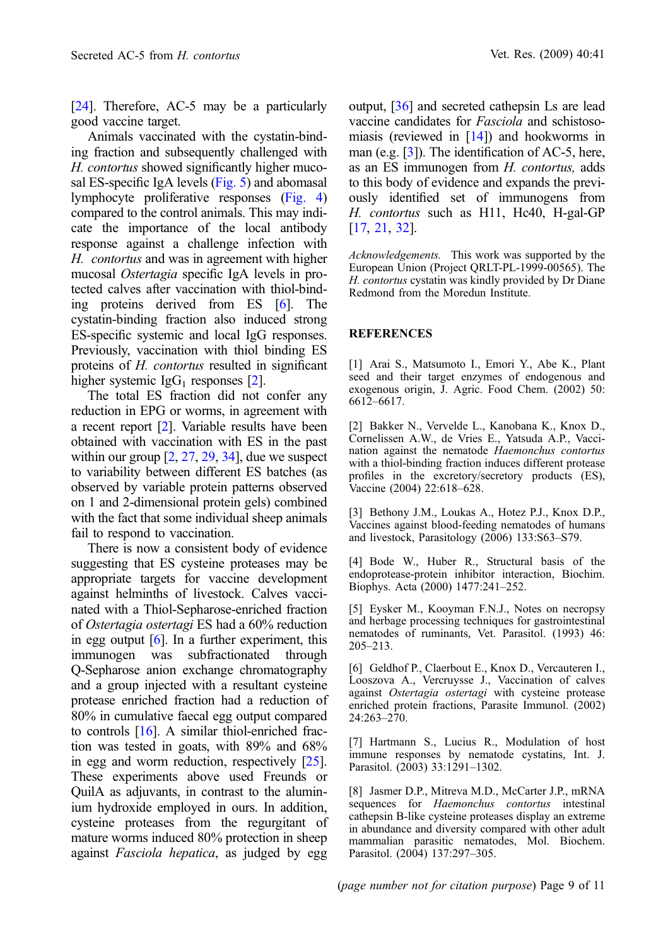<span id="page-8-0"></span>[\[24\]](#page-9-0). Therefore, AC-5 may be a particularly good vaccine target.

Animals vaccinated with the cystatin-binding fraction and subsequently challenged with H. contortus showed significantly higher mucosal ES-specific IgA levels ([Fig. 5](#page-6-0)) and abomasal lymphocyte proliferative responses [\(Fig. 4](#page-5-0)) compared to the control animals. This may indicate the importance of the local antibody response against a challenge infection with H. contortus and was in agreement with higher mucosal Ostertagia specific IgA levels in protected calves after vaccination with thiol-binding proteins derived from ES [6]. The cystatin-binding fraction also induced strong ES-specific systemic and local IgG responses. Previously, vaccination with thiol binding ES proteins of H. contortus resulted in significant higher systemic  $I \text{g} G_1$  responses [2].

The total ES fraction did not confer any reduction in EPG or worms, in agreement with a recent report [2]. Variable results have been obtained with vaccination with ES in the past within our group  $[2, 27, 29, 34]$  $[2, 27, 29, 34]$  $[2, 27, 29, 34]$  $[2, 27, 29, 34]$  $[2, 27, 29, 34]$  $[2, 27, 29, 34]$  $[2, 27, 29, 34]$ , due we suspect to variability between different ES batches (as observed by variable protein patterns observed on 1 and 2-dimensional protein gels) combined with the fact that some individual sheep animals fail to respond to vaccination.

There is now a consistent body of evidence suggesting that ES cysteine proteases may be appropriate targets for vaccine development against helminths of livestock. Calves vaccinated with a Thiol-Sepharose-enriched fraction of Ostertagia ostertagi ES had a 60% reduction in egg output  $[6]$ . In a further experiment, this immunogen was subfractionated through Q-Sepharose anion exchange chromatography and a group injected with a resultant cysteine protease enriched fraction had a reduction of 80% in cumulative faecal egg output compared to controls  $[16]$ . A similar thiol-enriched fraction was tested in goats, with 89% and 68% in egg and worm reduction, respectively [\[25\]](#page-9-0). These experiments above used Freunds or QuilA as adjuvants, in contrast to the aluminium hydroxide employed in ours. In addition, cysteine proteases from the regurgitant of mature worms induced 80% protection in sheep against Fasciola hepatica, as judged by egg

output, [\[36\]](#page-10-0) and secreted cathepsin Ls are lead vaccine candidates for Fasciola and schistosomiasis (reviewed in [\[14\]](#page-9-0)) and hookworms in man (e.g. [3]). The identification of AC-5, here, as an ES immunogen from H. contortus, adds to this body of evidence and expands the previously identified set of immunogens from H. contortus such as H11, Hc40, H-gal-GP [\[17,](#page-9-0) [21](#page-9-0), [32](#page-9-0)].

Acknowledgements. This work was supported by the European Union (Project QRLT-PL-1999-00565). The H. contortus cystatin was kindly provided by Dr Diane Redmond from the Moredun Institute.

### **REFERENCES**

[1] Arai S., Matsumoto I., Emori Y., Abe K., Plant seed and their target enzymes of endogenous and exogenous origin, J. Agric. Food Chem. (2002) 50: 6612–6617.

[2] Bakker N., Vervelde L., Kanobana K., Knox D., Cornelissen A.W., de Vries E., Yatsuda A.P., Vaccination against the nematode Haemonchus contortus with a thiol-binding fraction induces different protease profiles in the excretory/secretory products (ES), Vaccine (2004) 22:618–628.

[3] Bethony J.M., Loukas A., Hotez P.J., Knox D.P., Vaccines against blood-feeding nematodes of humans and livestock, Parasitology (2006) 133:S63–S79.

[4] Bode W., Huber R., Structural basis of the endoprotease-protein inhibitor interaction, Biochim. Biophys. Acta (2000) 1477:241–252.

[5] Eysker M., Kooyman F.N.J., Notes on necropsy and herbage processing techniques for gastrointestinal nematodes of ruminants, Vet. Parasitol. (1993) 46: 205–213.

[6] Geldhof P., Claerbout E., Knox D., Vercauteren I., Looszova A., Vercruysse J., Vaccination of calves against Ostertagia ostertagi with cysteine protease enriched protein fractions, Parasite Immunol. (2002) 24:263–270.

[7] Hartmann S., Lucius R., Modulation of host immune responses by nematode cystatins, Int. J. Parasitol. (2003) 33:1291–1302.

[8] Jasmer D.P., Mitreva M.D., McCarter J.P., mRNA sequences for Haemonchus contortus intestinal cathepsin B-like cysteine proteases display an extreme in abundance and diversity compared with other adult mammalian parasitic nematodes, Mol. Biochem. Parasitol. (2004) 137:297–305.

(page number not for citation purpose) Page 9 of 11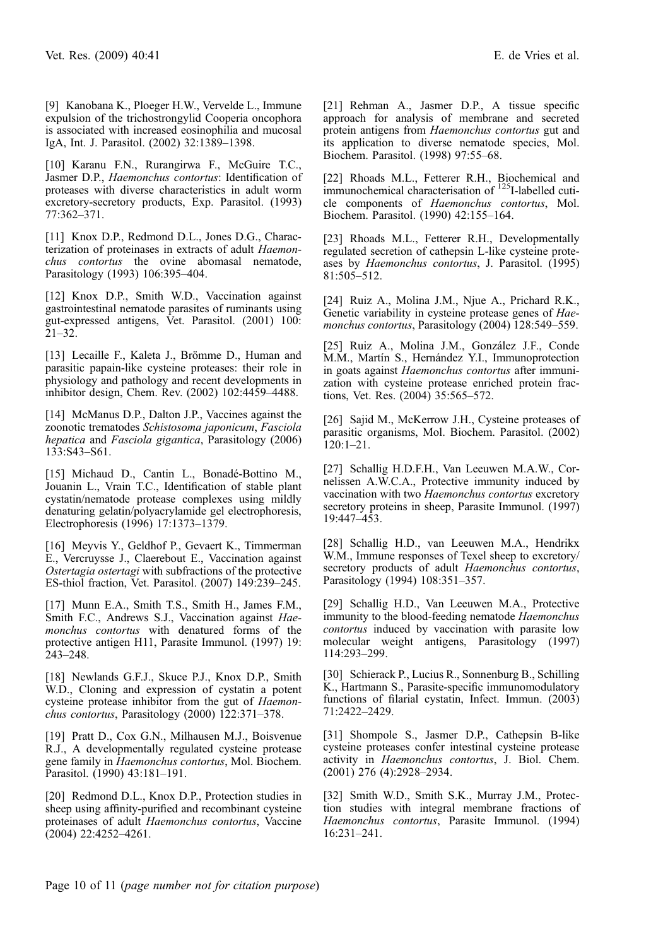<span id="page-9-0"></span>[9] Kanobana K., Ploeger H.W., Vervelde L., Immune expulsion of the trichostrongylid Cooperia oncophora is associated with increased eosinophilia and mucosal IgA, Int. J. Parasitol. (2002) 32:1389–1398.

[10] Karanu F.N., Rurangirwa F., McGuire T.C., Jasmer D.P., Haemonchus contortus: Identification of proteases with diverse characteristics in adult worm excretory-secretory products, Exp. Parasitol. (1993) 77:362–371.

[11] Knox D.P., Redmond D.L., Jones D.G., Characterization of proteinases in extracts of adult Haemonchus contortus the ovine abomasal nematode, Parasitology (1993) 106:395–404.

[12] Knox D.P., Smith W.D., Vaccination against gastrointestinal nematode parasites of ruminants using gut-expressed antigens, Vet. Parasitol. (2001) 100: 21–32.

[13] Lecaille F., Kaleta J., Brömme D., Human and parasitic papain-like cysteine proteases: their role in physiology and pathology and recent developments in inhibitor design, Chem. Rev. (2002) 102:4459–4488.

[14] McManus D.P., Dalton J.P., Vaccines against the zoonotic trematodes Schistosoma japonicum, Fasciola hepatica and Fasciola gigantica, Parasitology (2006) 133:S43–S61.

[15] Michaud D., Cantin L., Bonadé-Bottino M., Jouanin L., Vrain T.C., Identification of stable plant cystatin/nematode protease complexes using mildly denaturing gelatin/polyacrylamide gel electrophoresis, Electrophoresis (1996) 17:1373–1379.

[16] Meyvis Y., Geldhof P., Gevaert K., Timmerman E., Vercruysse J., Claerebout E., Vaccination against Ostertagia ostertagi with subfractions of the protective ES-thiol fraction, Vet. Parasitol. (2007) 149:239–245.

[17] Munn E.A., Smith T.S., Smith H., James F.M., Smith F.C., Andrews S.J., Vaccination against Haemonchus contortus with denatured forms of the protective antigen H11, Parasite Immunol. (1997) 19:  $243 - 248$ .

[18] Newlands G.F.J., Skuce P.J., Knox D.P., Smith W.D., Cloning and expression of cystatin a potent cysteine protease inhibitor from the gut of Haemonchus contortus, Parasitology (2000) 122:371–378.

[19] Pratt D., Cox G.N., Milhausen M.J., Boisvenue R.J., A developmentally regulated cysteine protease gene family in Haemonchus contortus, Mol. Biochem. Parasitol. (1990) 43:181–191.

[20] Redmond D.L., Knox D.P., Protection studies in sheep using affinity-purified and recombinant cysteine proteinases of adult Haemonchus contortus, Vaccine (2004) 22:4252–4261.

[21] Rehman A., Jasmer D.P., A tissue specific approach for analysis of membrane and secreted protein antigens from Haemonchus contortus gut and its application to diverse nematode species, Mol. Biochem. Parasitol. (1998) 97:55–68.

[22] Rhoads M.L., Fetterer R.H., Biochemical and immunochemical characterisation of <sup>125</sup>I-labelled cuticle components of Haemonchus contortus, Mol. Biochem. Parasitol. (1990) 42:155–164.

[23] Rhoads M.L., Fetterer R.H., Developmentally regulated secretion of cathepsin L-like cysteine proteases by Haemonchus contortus, J. Parasitol. (1995) 81:505–512.

[24] Ruiz A., Molina J.M., Njue A., Prichard R.K., Genetic variability in cysteine protease genes of Haemonchus contortus, Parasitology (2004) 128:549–559.

[25] Ruiz A., Molina J.M., González J.F., Conde M.M., Martín S., Hernández Y.I., Immunoprotection in goats against Haemonchus contortus after immunization with cysteine protease enriched protein fractions, Vet. Res. (2004) 35:565–572.

[26] Sajid M., McKerrow J.H., Cysteine proteases of parasitic organisms, Mol. Biochem. Parasitol. (2002) 120:1–21.

[27] Schallig H.D.F.H., Van Leeuwen M.A.W., Cornelissen A.W.C.A., Protective immunity induced by vaccination with two Haemonchus contortus excretory secretory proteins in sheep, Parasite Immunol. (1997) 19:447–453.

[28] Schallig H.D., van Leeuwen M.A., Hendrikx W.M., Immune responses of Texel sheep to excretory/ secretory products of adult Haemonchus contortus, Parasitology (1994) 108:351–357.

[29] Schallig H.D., Van Leeuwen M.A., Protective immunity to the blood-feeding nematode Haemonchus contortus induced by vaccination with parasite low molecular weight antigens, Parasitology (1997) 114:293–299.

[30] Schierack P., Lucius R., Sonnenburg B., Schilling K., Hartmann S., Parasite-specific immunomodulatory functions of filarial cystatin, Infect. Immun. (2003) 71:2422–2429.

[31] Shompole S., Jasmer D.P., Cathepsin B-like cysteine proteases confer intestinal cysteine protease activity in Haemonchus contortus, J. Biol. Chem. (2001) 276 (4):2928–2934.

[32] Smith W.D., Smith S.K., Murray J.M., Protection studies with integral membrane fractions of Haemonchus contortus, Parasite Immunol. (1994) 16:231–241.